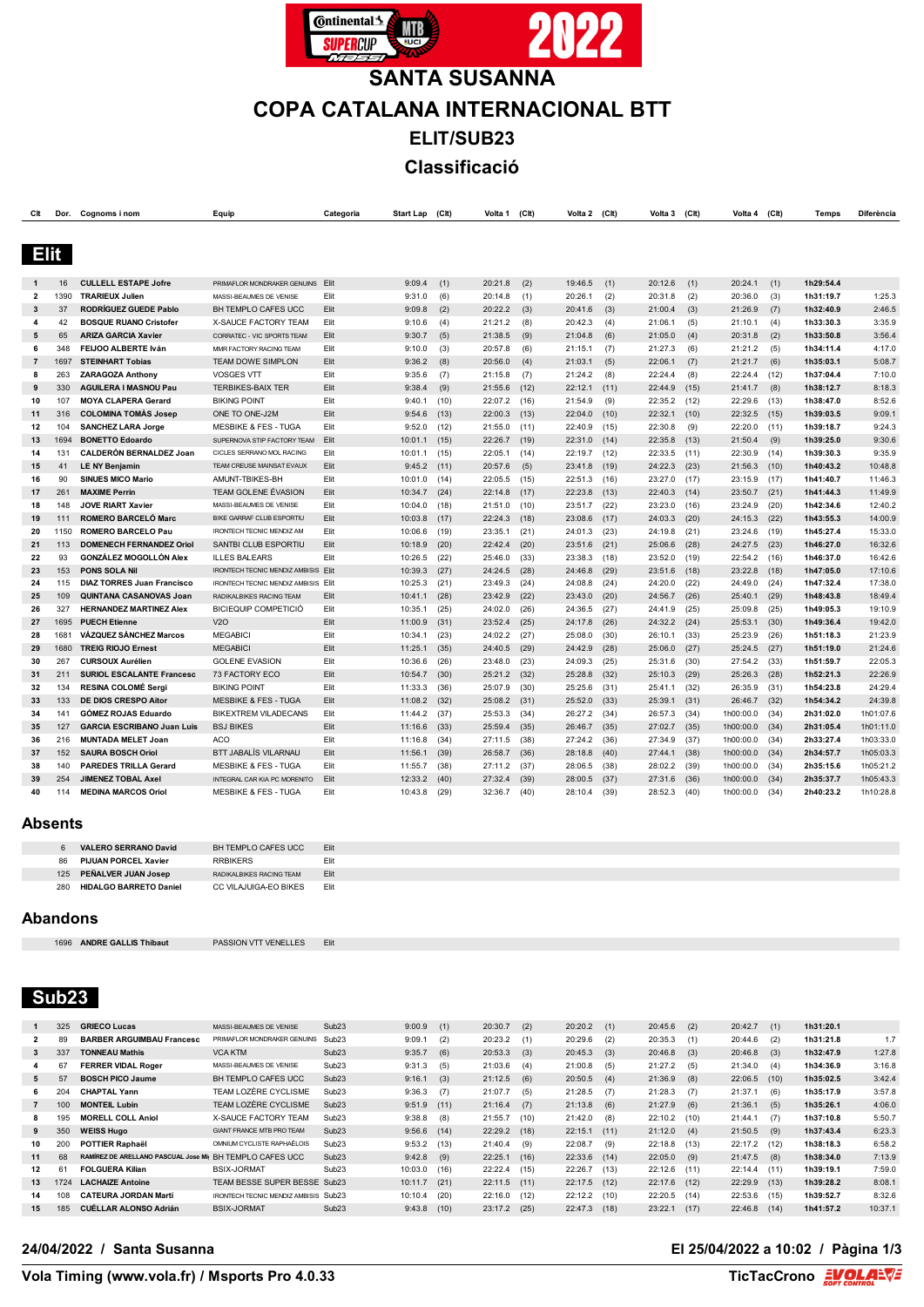

# **SANTA SUSANNA COPA CATALANA INTERNACIONAL BTT ELIT/SUB23 Classificació**

| Clt            |             | Dor. Cognoms inom                                              | Equip                                      | Categoria    | <b>Start Lap</b>   | (Clt)        | Volta 1            | (Clt)        | Volta 2 (Clt)      |              | Volta 3            | (Clt)        | Volta 4            | (CIt)        | Temps                  | Diferència         |
|----------------|-------------|----------------------------------------------------------------|--------------------------------------------|--------------|--------------------|--------------|--------------------|--------------|--------------------|--------------|--------------------|--------------|--------------------|--------------|------------------------|--------------------|
|                |             |                                                                |                                            |              |                    |              |                    |              |                    |              |                    |              |                    |              |                        |                    |
|                |             |                                                                |                                            |              |                    |              |                    |              |                    |              |                    |              |                    |              |                        |                    |
| <b>Elit</b>    |             |                                                                |                                            |              |                    |              |                    |              |                    |              |                    |              |                    |              |                        |                    |
|                |             |                                                                |                                            |              |                    |              |                    |              |                    |              |                    |              |                    |              |                        |                    |
|                | 16          | <b>CULLELL ESTAPE Jofre</b>                                    | PRIMAFLOR MONDRAKER GENUINS Elit           |              | 9:09.4             | (1)          | 20:21.8            | (2)          | 19:46.5            | (1)          | 20:12.6            | (1)          | 20:24.1            | (1)          | 1h29:54.4              |                    |
| $\overline{2}$ | 1390        | <b>TRARIEUX Julien</b>                                         | MASSI-BEAUMES DE VENISE                    | Elit         | 9:31.0             | (6)          | 20:14.8            | (1)          | 20:26.1            | (2)          | 20:31.8            | (2)          | 20:36.0            | (3)          | 1h31:19.7              | 1:25.3             |
| 3              | 37          | <b>RODRÍGUEZ GUEDE Pablo</b>                                   | BH TEMPLO CAFES UCC                        | Elit         | 9:09.8             | (2)          | 20:22.2            | (3)          | 20:41.6            | (3)          | 21:00.4            | (3)          | 21:26.9            | (7)          | 1h32:40.9              | 2:46.5             |
| 4              | 42          | <b>BOSQUE RUANO Cristofer</b>                                  | X-SAUCE FACTORY TEAM                       | Elit         | 9:10.6             | (4)          | 21:21.2            | (8)          | 20:42.3            | (4)          | 21:06.1            | (5)          | 21:10.1            | (4)          | 1h33:30.3              | 3:35.9             |
| 5              | 65          | <b>ARIZA GARCIA Xavier</b>                                     | CORRATEC - VIC SPORTS TEAM                 | Elit         | 9:30.7             | (5)          | 21:38.5            | (9)          | 21:04.8            | (6)          | 21:05.0            | (4)          | 20:31.8            | (2)          | 1h33:50.8              | 3:56.4             |
| 6              | 348         | FEIJOO ALBERTE Iván                                            | MMR FACTORY RACING TEAM                    | Elit         | 9:10.0             | (3)          | 20:57.8            | (6)          | 21:15.1            | (7)          | 21:27.3            | (6)          | 21:21.2            | (5)          | 1h34:11.4              | 4:17.0             |
| $\overline{7}$ | 1697        | <b>STEINHART Tobias</b>                                        | <b>TEAM DOWE SIMPLON</b>                   | Elit         | 9:36.2             | (8)          | 20:56.0            | (4)          | 21:03.1            | (5)          | 22:06.1            | (7)          | 21:21.7            | (6)          | 1h35:03.1              | 5:08.7             |
| 8              | 263         | <b>ZARAGOZA Anthony</b>                                        | <b>VOSGES VTT</b>                          | Elit         | 9:35.6             | (7)          | 21:15.8            | (7)          | 21:24.2            | (8)          | 22:24.4            | (8)          | 22:24.4            | (12)         | 1h37:04.4              | 7:10.0             |
| 9              | 330         | <b>AGUILERA I MASNOU Pau</b>                                   | <b>TERBIKES-BAIX TER</b>                   | Elit         | 9:38.4             | (9)          | 21:55.6            | (12)         | 22:12.1            | (11)         | 22:44.9            | (15)         | 21:41.7            | (8)          | 1h38:12.7              | 8:18.3             |
| 10             | 107         | <b>MOYA CLAPERA Gerard</b>                                     | <b>BIKING POINT</b>                        | Elit         | 9:40.1             | (10)         | 22:07.2            | (16)         | 21:54.9            | (9)          | 22:35.2            | (12)         | 22:29.6            | (13)         | 1h38:47.0              | 8:52.6             |
| 11             | 316         | <b>COLOMINA TOMAS Josep</b>                                    | ONE TO ONE-J2M                             | Elit         | 9:54.6             | (13)         | 22:00.3            | (13)         | 22:04.0            | (10)         | 22:32.1            | (10)         | 22:32.5            | (15)         | 1h39:03.5              | 9:09.1             |
| 12             | 104         | <b>SANCHEZ LARA Jorge</b>                                      | <b>MESBIKE &amp; FES - TUGA</b>            | Elit         | 9:52.0             | (12)         | 21:55.0            | (11)         | 22:40.9            | (15)         | 22:30.8            | (9)          | 22:20.0            | (11)         | 1h39:18.7              | 9:24.3             |
| 13             | 1694        | <b>BONETTO Edoardo</b>                                         | SUPERNOVA STIP FACTORY TEAM                | Elit         | 10:01.1            | (15)         | 22:26.7            | (19)         | 22:31.0            | (14)         | 22:35.8            | (13)         | 21:50.4            | (9)          | 1h39:25.0              | 9:30.6             |
| 14             | 131         | <b>CALDERÓN BERNALDEZ Joan</b>                                 | CICLES SERRANO MOL RACING                  | Elit         | 10:01.1            | (15)         | 22:05.1            | (14)         | 22:19.7            | (12)         | 22:33.5            | (11)         | 22:30.9            | (14)         | 1h39:30.3              | 9:35.9             |
| 15             | 41          | <b>LE NY Benjamin</b>                                          | TEAM CREUSE MAINSAT EVAUX                  | Elit         | 9:45.2             | (11)         | 20:57.6            | (5)          | 23:41.8            | (19)         | 24:22.3            | (23)         | 21:56.3            | (10)         | 1h40:43.2              | 10:48.8            |
| 16             | 90          | <b>SINUES MICO Mario</b>                                       | AMUNT-TBIKES-BH                            | Elit         | 10:01.0            | (14)         | 22:05.5            | (15)         | 22:51.3            | (16)         | 23:27.0            | (17)         | 23:15.9            | (17)         | 1h41:40.7              | 11:46.3            |
| 17             | 261         | <b>MAXIME Perrin</b>                                           | TEAM GOLENE ÉVASION                        | Elit         | 10:34.7            | (24)         | 22:14.8            | (17)         | 22:23.8            | (13)         | 22:40.3            | (14)         | 23:50.7            | (21)         | 1h41:44.3              | 11:49.9            |
| 18             | 148         | <b>JOVE RIART Xavier</b>                                       | MASSI-BEAUMES DE VENISE                    | Elit         | 10:04.0            | (18)         | 21:51.0            | (10)         | 23:51.7            | (22)         | 23:23.0            | (16)         | 23:24.9            | (20)         | 1h42:34.6              | 12:40.2            |
| 19             | 111         | <b>ROMERO BARCELÓ Marc</b>                                     | BIKE GARRAF CLUB ESPORTIU                  | Elit         | 10:03.8            | (17)         | 22:24.3            | (18)         | 23:08.6            | (17)         | 24:03.3            | (20)         | 24:15.3            | (22)         | 1h43:55.3              | 14:00.9            |
| 20             | 1150        | <b>ROMERO BARCELO Pau</b>                                      | <b>IRONTECH TECNIC MENDIZ AM</b>           | Elit         | 10:06.6            | (19)         | 23:35.1            | (21)         | 24:01.3            | (23)         | 24:19.8            | (21)         | 23:24.6            | (19)         | 1h45:27.4              | 15:33.0            |
| 21             | 113         | <b>DOMENECH FERNANDEZ Oriol</b>                                | SANTBI CLUB ESPORTIU                       | Elit         | 10:18.9            | (20)         | 22:42.4            | (20)         | 23:51.6            | (21)         | 25:06.6            | (28)         | 24:27.5            | (23)         | 1h46:27.0              | 16:32.6            |
| 22             | 93          | <b>GONZÁLEZ MOGOLLÓN Alex</b>                                  | <b>ILLES BALEARS</b>                       | Elit         | 10:26.5            | (22)         | 25:46.0            | (33)         | 23:38.3            | (18)         | 23:52.0            | (19)         | 22:54.2            | (16)         | 1h46:37.0              | 16:42.6            |
| 23             | 153         | PONS SOLA Nil                                                  | <b>IRONTECH TECNIC MENDIZ AMBISIS Elit</b> |              | 10:39.3            | (27)         | 24:24.5            | (28)         | 24:46.8            | (29)         | 23:51.6            | (18)         | 23:22.8            | (18)         | 1h47:05.0              | 17:10.6            |
| 24             | 115         | <b>DIAZ TORRES Juan Francisco</b>                              | IRONTECH TECNIC MENDIZ AMBISIS             | Elit         | 10:25.3            | (21)         | 23:49.3            | (24)         | 24:08.8            | (24)         | 24:20.0            | (22)         | 24:49.0            | (24)         | 1h47:32.4              | 17:38.0            |
| 25             | 109         | QUINTANA CASANOVAS Joan                                        | RADIKALBIKES RACING TEAM                   | Elit         | 10:41.1            | (28)         | 23:42.9            | (22)         | 23:43.0            | (20)         | 24:56.7            | (26)         | 25:40.1            | (29)         | 1h48:43.8              | 18:49.4            |
| 26             | 327         | <b>HERNANDEZ MARTINEZ Alex</b>                                 | <b>BICIEQUIP COMPETICIÓ</b>                | Elit         | 10:35.1            | (25)         | 24:02.0            | (26)         | 24:36.5            | (27)         | 24:41.9            | (25)         | 25:09.8            | (25)         | 1h49:05.3              | 19:10.9            |
| 27             | 1695        | <b>PUECH Etienne</b>                                           | <b>V2O</b>                                 | Elit         | 11:00.9            | (31)         | 23:52.4            | (25)         | 24:17.8            | (26)         | 24:32.2            | (24)         | 25:53.1            | (30)         | 1h49:36.4              | 19:42.0            |
| 28             | 1681        | <b>VÁZQUEZ SÁNCHEZ Marcos</b>                                  | <b>MEGABICI</b>                            | Elit         | 10:34.1            | (23)         | 24:02.2            | (27)         | 25:08.0            | (30)         | 26:10.1            | (33)         | 25:23.9            | (26)         | 1h51:18.3              | 21:23.9            |
| 29             | 1680<br>267 | <b>TREIG RIOJO Ernest</b><br><b>CURSOUX Aurélien</b>           | <b>MEGABICI</b>                            | Elit         | 11:25.1            | (35)         | 24:40.5            | (29)         | 24:42.9            | (28)         | 25:06.0            | (27)         | 25:24.5            | (27)         | 1h51:19.0              | 21:24.6            |
| 30             | 211         |                                                                | <b>GOLENE EVASION</b>                      | Elit<br>Elit | 10:36.6            | (26)         | 23:48.0            | (23)         | 24:09.3            | (25)<br>(32) | 25:31.6            | (30)         | 27:54.2            | (33)         | 1h51:59.7              | 22:05.3<br>22:26.9 |
| 31<br>32       | 134         | <b>SURIOL ESCALANTE Francesc</b><br><b>RESINA COLOMÉ Sergi</b> | 73 FACTORY ECO<br><b>BIKING POINT</b>      | Elit         | 10:54.7<br>11:33.3 | (30)<br>(36) | 25:21.2<br>25:07.9 | (32)         | 25:28.8<br>25:25.6 | (31)         | 25:10.3<br>25:41.1 | (29)         | 25:26.3<br>26:35.9 | (28)         | 1h52:21.3<br>1h54:23.8 | 24:29.4            |
| 33             | 133         | DE DIOS CRESPO Aitor                                           | <b>MESBIKE &amp; FES - TUGA</b>            | Elit         | 11:08.2            | (32)         | 25:08.2            | (30)<br>(31) | 25:52.0            | (33)         | 25:39.1            | (32)<br>(31) | 26:46.7            | (31)<br>(32) | 1h54:34.2              | 24:39.8            |
| 34             | 141         | <b>GOMEZ ROJAS Eduardo</b>                                     | <b>BIKEXTREM VILADECANS</b>                | Elit         | 11:44.2            | (37)         | 25:53.3            | (34)         | 26:27.2            | (34)         | 26:57.3            | (34)         | 1h00:00.0          | (34)         | 2h31:02.0              | 1h01:07.6          |
| 35             | 127         | <b>GARCIA ESCRIBANO Juan Luis</b>                              | <b>BSJ BIKES</b>                           | Elit         | 11:16.6            | (33)         | 25:59.4            | (35)         | 26:46.7            | (35)         | 27:02.7            | (35)         | 1h00:00.0          | (34)         | 2h31:05.4              | 1h01:11.0          |
| 36             | 216         | <b>MUNTADA MELET Joan</b>                                      | <b>ACO</b>                                 | Elit         | 11:16.8            | (34)         | 27:11.5            | (38)         | 27:24.2            | (36)         | 27:34.9            | (37)         | 1h00:00.0          | (34)         | 2h33:27.4              | 1h03:33.0          |
| 37             | 152         | <b>SAURA BOSCH Oriol</b>                                       | BTT JABALÍS VILARNAU                       | Elit         | 11:56.1            | (39)         | 26:58.7            | (36)         | 28:18.8            | (40)         | 27:44.1            | (38)         | 1h00:00.0          | (34)         | 2h34:57.7              | 1h05:03.3          |
| 38             | 140         | <b>PAREDES TRILLA Gerard</b>                                   | <b>MESBIKE &amp; FES - TUGA</b>            | Elit         | 11:55.7            | (38)         | 27:11.2            | (37)         | 28:06.5            | (38)         | 28:02.2            | (39)         | 1h00:00.0          | (34)         | 2h35:15.6              | 1h05:21.2          |
| 39             | 254         | <b>JIMENEZ TOBAL Axel</b>                                      | INTEGRAL CAR KIA PC MORENITO               | Elit         | 12:33.2            | (40)         | 27:32.4            | (39)         | 28:00.5            | (37)         | 27:31.6            | (36)         | 1h00:00.0          | (34)         | 2h35:37.7              | 1h05:43.3          |
| 40             | 114         | <b>MEDINA MARCOS Oriol</b>                                     | <b>MESBIKE &amp; FES - TUGA</b>            | Elit         | 10:43.8            | (29)         | 32:36.7            | (40)         | 28:10.4            | (39)         | 28:52.3            | (40)         | 1h00:00.0          | (34)         | 2h40:23.2              | 1h10:28.8          |
|                |             |                                                                |                                            |              |                    |              |                    |              |                    |              |                    |              |                    |              |                        |                    |

#### **Absents**

|     | <b>VALERO SERRANO David</b>   | BH TEMPLO CAFES UCC.            | <b>Elit</b> |
|-----|-------------------------------|---------------------------------|-------------|
| 86  | <b>PIJUAN PORCEL Xavier</b>   | <b>RRBIKERS</b>                 | Flit        |
|     | 125 PEÑALVER JUAN Josep       | <b>RADIKALBIKES RACING TEAM</b> | <b>Elit</b> |
| 280 | <b>HIDALGO BARRETO Daniel</b> | CC VILAJUIGA-FO BIKES           | Flit        |

#### **Abandons**

**ANDRE GALLIS Thibaut** PASSION VTT VENELLES Elit

## **Sub23**

|                | 325  | <b>GRIECO Lucas</b>                                     | MASSI-BEAUMES DE VENISE              | Sub <sub>23</sub> | 9:00.9  | (1)  | 20:30.7        | (2)  | 20:20.2        | (1)  | 20:45.6        | (2)  | 20:42.7        | (1)  | 1h31:20.1 |         |
|----------------|------|---------------------------------------------------------|--------------------------------------|-------------------|---------|------|----------------|------|----------------|------|----------------|------|----------------|------|-----------|---------|
| $\overline{2}$ | 89   | <b>BARBER ARGUIMBAU Francesc</b>                        | PRIMAFI OR MONDRAKER GENUINS         | Sub <sub>23</sub> | 9:09.1  | (2)  | 20:23.2        | (1)  | 20:29.6        | (2)  | 20:35.3        | (1)  | 20:44.6        | (2)  | 1h31:21.8 | 1.7     |
| 3              | 337  | <b>TONNEAU Mathis</b>                                   | <b>VCA KTM</b>                       | Sub <sub>23</sub> | 9:35.7  | (6)  | $20:53.3$ (3)  |      | $20:45.3$ (3)  |      | $20:46.8$ (3)  |      | 20:46.8        | (3)  | 1h32:47.9 | 1:27.8  |
| 4              | 67   | <b>FERRER VIDAL Roger</b>                               | MASSI-BEAUMES DE VENISE              | Sub <sub>23</sub> | 9:31.3  | (5)  | 21:03.6        | (4)  | 21:00.8        | (5)  | 21:27.2        | (5)  | 21:34.0        | (4)  | 1h34:36.9 | 3:16.8  |
| 5              | 57   | <b>BOSCH PICO Jaume</b>                                 | BH TEMPLO CAFES UCC                  | Sub <sub>23</sub> | 9:16.1  | (3)  | 21:12.5        | (6)  | 20:50.5        | (4)  | 21:36.9        | (8)  | 22:06.5        | (10) | 1h35:02.5 | 3:42.4  |
| 6.             | 204  | <b>CHAPTAL Yann</b>                                     | TEAM LOZÈRE CYCLISME                 | Sub <sub>23</sub> | 9:36.3  | (7)  | 21:07.7        | (5)  | 21:28.5        | (7)  | 21:28.3        | (7)  | 21:37.1        | (6)  | 1h35:17.9 | 3:57.8  |
|                | 100  | <b>MONTEIL Lubin</b>                                    | TEAM LOZÈRE CYCLISME                 | Sub <sub>23</sub> | 9:51.9  | (11) | 21:16.4        | (7)  | 21:13.8        | (6)  | 21:27.9        | (6)  | 21:36.1        | (5)  | 1h35:26.1 | 4:06.0  |
| 8              | 195  | <b>MORELL COLL Aniol</b>                                | X-SAUCE FACTORY TEAM                 | Sub <sub>23</sub> | 9:38.8  | (8)  | 21:55.7        | (10) | 21:42.0        | (8)  | 22:10.2        | (10) | 21:44.1        | (7)  | 1h37:10.8 | 5:50.7  |
| 9              | 350  | <b>WEISS Hugo</b>                                       | <b>GIANT FRANCE MTB PRO TEAM</b>     | Sub <sub>23</sub> | 9:56.6  | (14) | $22:29.2$ (18) |      | 22:15.1        | (11) | $21:12.0$ (4)  |      | 21:50.5        | (9)  | 1h37:43.4 | 6:23.3  |
| 10             | 200  | <b>POTTIER Raphaël</b>                                  | OMNIUM CYCLISTE RAPHAËLOIS           | Sub <sub>23</sub> | 9:53.2  | (13) | 21:40.4        | (9)  | 22:08.7        | (9)  | 22:18.8        | (13) | 22:17.2 (12)   |      | 1h38:18.3 | 6:58.2  |
| 11             | 68   | RAMÍREZ DE ARELLANO PASCUAL Jose Mi BH TEMPLO CAFES UCC |                                      | Sub <sub>23</sub> | 9:42.8  | (9)  | 22:25.1        | (16) | $22:33.6$ (14) |      | 22:05.0        | (9)  | 21:47.5        | (8)  | 1h38:34.0 | 7:13.9  |
| 12             | 61   | <b>FOLGUERA Kilian</b>                                  | <b>BSIX-JORMAT</b>                   | Sub <sub>23</sub> | 10:03.0 | (16) | 22:22.4        | (15) | 22:26.7        | (13) | 22:12.6        | (11) | $22:14.4$ (11) |      | 1h39:19.1 | 7:59.0  |
| 13             | 1724 | <b>LACHAIZE Antoine</b>                                 | TEAM BESSE SUPER BESSE Sub23         |                   | 10:11.7 | (21) | $22:11.5$ (11) |      | $22:17.5$ (12) |      | $22:17.6$ (12) |      | $22:29.9$ (13) |      | 1h39:28.2 | 8:08.1  |
| 14             | 108  | <b>CATEURA JORDAN Martí</b>                             | IRONTECH TECNIC MENDIZ AMBISIS Sub23 |                   | 10:10.4 | (20) | $22:16.0$ (12) |      | 22:12.2        | (10) | 22:20.5        | (14) | 22:53.6        | (15) | 1h39:52.7 | 8:32.6  |
| 15             | 185  | <b>CUÉLLAR ALONSO Adrián</b>                            | <b>BSIX-JORMAT</b>                   | Sub <sub>23</sub> | 9:43.8  | (10) | $23:17.2$ (25) |      | $22:47.3$ (18) |      | 23:22.1        | (17) | 22:46.8        | (14) | 1h41:57.2 | 10:37.1 |
|                |      |                                                         |                                      |                   |         |      |                |      |                |      |                |      |                |      |           |         |

### **24/04/2022 / Santa Susanna El 25/04/2022 a 10:02 / Pàgina 1/3**

### **Vola Timing (www.vola.fr) / Msports Pro 4.0.33**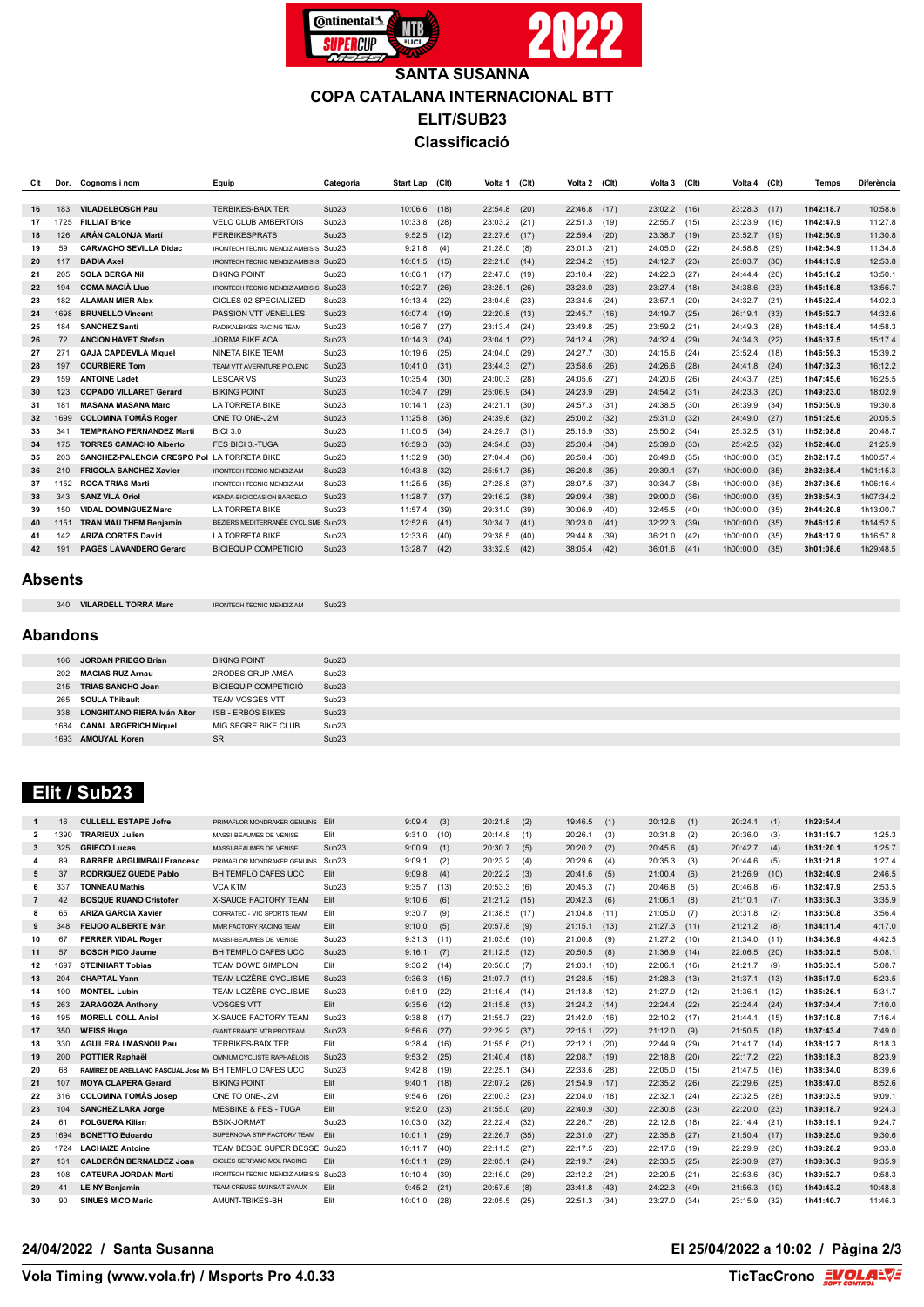

## **SANTA SUSANNA COPA CATALANA INTERNACIONAL BTT ELIT/SUB23 Classificació**

| <b>VILADELBOSCH Pau</b><br><b>TERBIKES-BAIX TER</b><br>Sub <sub>23</sub><br>10:06.6<br>23:02.2<br>23:28.3<br>1h42:18.7<br>183<br>(18)<br>22:54.8<br>(20)<br>22:46.8<br>(17)<br>(16)<br>(17)<br>16<br>1725<br><b>FILLIAT Brice</b><br>VELO CLUB AMBERTOIS<br>Sub <sub>23</sub><br>10:33.8<br>(28)<br>23:03.2<br>22:55.7<br>23:23.9<br>1h42:47.9<br>17<br>(21)<br>22:51.3<br>(19)<br>(15)<br>(16)<br><b>ARÁN CALONJA Martí</b><br>126<br><b>FERBIKESPRATS</b><br>Sub <sub>23</sub><br>23:52.7<br>1h42:50.9<br>18<br>9:52.5<br>(12)<br>22:27.6<br>(17)<br>22:59.4<br>(20)<br>23:38.7<br>(19)<br>(19)<br><b>CARVACHO SEVILLA Didac</b><br>24:58.8<br>1h42:54.9<br>19<br>59<br>Sub <sub>23</sub><br>9:21.8<br>(4)<br>21:28.0<br>(8)<br>23:01.3<br>(21)<br>24:05.0<br>(22)<br>(29)<br><b>IRONTECH TECNIC MENDIZ AMBISIS</b><br>117<br><b>BADIA Axel</b><br>IRONTECH TECNIC MENDIZ AMBISIS Sub23<br>(15)<br>22:21.8<br>24:12.7<br>25:03.7<br>1h44:13.9<br>20<br>10:01.5<br>(14)<br>22:34.2<br>(15)<br>(23)<br>(30)<br><b>SOLA BERGA Nil</b><br><b>BIKING POINT</b><br>1h45:10.2<br>21<br>205<br>Sub <sub>23</sub><br>10:06.1<br>22:47.0<br>23:10.4<br>24:22.3<br>24:44.4<br>(17)<br>(19)<br>(22)<br>(27)<br>(26)<br><b>COMA MACIÀ LIUC</b><br>22<br>194<br>IRONTECH TECNIC MENDIZ AMBISIS Sub23<br>10:22.7<br>(26)<br>23:25.1<br>(26)<br>23:23.0<br>(23)<br>23:27.4<br>(18)<br>24:38.6<br>(23)<br>1h45:16.8<br><b>ALAMAN MIER Alex</b><br>23<br>182<br>CICLES 02 SPECIALIZED<br>Sub <sub>23</sub><br>23:57.1<br>24:32.7<br>1h45:22.4<br>10:13.4<br>23:04.6<br>23:34.6<br>(20)<br>(22)<br>(23)<br>(24)<br>(21)<br>1698<br><b>BRUNELLO Vincent</b><br>PASSION VTT VENELLES<br>Sub <sub>23</sub><br>10:07.4<br>22:20.8<br>24:19.7<br>26:19.1<br>(33)<br>1h45:52.7<br>24<br>(19)<br>(13)<br>22:45.7<br>(16)<br>(25)<br>25<br><b>SANCHEZ Santi</b><br>Sub <sub>23</sub><br>10:26.7<br>23:59.2<br>24:49.3<br>1h46:18.4<br>184<br>(27)<br>23:13.4<br>23:49.8<br>(25)<br>(28)<br>RADIKALBIKES RACING TEAM<br>(24)<br>(21)<br>Sub <sub>23</sub><br>72<br><b>ANCION HAVET Stefan</b><br><b>JORMA BIKE ACA</b><br>10:14.3<br>(22)<br>24:12.4<br>(28)<br>24:32.4<br>(29)<br>24:34.3<br>(22)<br>1h46:37.5<br>26<br>(24)<br>23:04.1<br>27<br>Sub <sub>23</sub><br>271<br><b>GAJA CAPDEVILA Miquel</b><br>NINETA BIKE TEAM<br>10:19.6<br>24:27.7<br>24:15.6<br>23:52.4<br>1h46:59.3<br>(25)<br>24:04.0<br>(29)<br>(30)<br>(24)<br>(18)<br><b>COURBIERE Tom</b><br>1h47:32.3<br>28<br>197<br>Sub <sub>23</sub><br>10:41.0<br>(31)<br>23:44.3<br>(27)<br>23:58.6<br>(26)<br>24:26.6<br>24:41.8<br>(28)<br>(24)<br>TEAM VTT AVERNTURE PIOLENC<br><b>LESCAR VS</b><br>29<br><b>ANTOINE Ladet</b><br>Sub <sub>23</sub><br>10:35.4<br>(28)<br>(27)<br>24:20.6<br>24:43.7<br>1h47:45.6<br>159<br>(30)<br>24:00.3<br>24:05.6<br>(26)<br>(25)<br><b>COPADO VILLARET Gerard</b><br><b>BIKING POINT</b><br>Sub <sub>23</sub><br>1h49:23.0<br>30<br>123<br>10:34.7<br>(29)<br>25:06.9<br>(34)<br>24:23.9<br>(29)<br>24:54.2<br>24:23.3<br>(20)<br>(31)<br><b>MASANA MASANA Marc</b><br>LA TORRETA BIKE<br>Sub <sub>23</sub><br>31<br>181<br>24:21.1<br>24:57.3<br>24:38.5<br>26:39.9<br>1h50:50.9<br>10:14.1<br>(23)<br>(30)<br>(31)<br>(30)<br>(34)<br><b>COLOMINA TOMAS Roger</b><br>1699<br>ONE TO ONE-J2M<br>Sub <sub>23</sub><br>11:25.8<br>(36)<br>24:39.6<br>25:00.2<br>24:49.0<br>(27)<br>1h51:25.6<br>32<br>(32)<br>(32)<br>25:31.0<br>(32)<br>33<br>341<br><b>TEMPRANO FERNANDEZ Martí</b><br><b>BICI 3.0</b><br>Sub <sub>23</sub><br>24:29.7<br>25:50.2<br>25:32.5<br>1h52:08.8<br>11:00.5<br>(34)<br>(31)<br>25:15.9<br>(33)<br>(34)<br>(31) | 10:58.6<br>11:27.8<br>11:30.8<br>11:34.8<br>12:53.8<br>13:50.1<br>13:56.7<br>14:02.3<br>14:32.6<br>14:58.3 |
|------------------------------------------------------------------------------------------------------------------------------------------------------------------------------------------------------------------------------------------------------------------------------------------------------------------------------------------------------------------------------------------------------------------------------------------------------------------------------------------------------------------------------------------------------------------------------------------------------------------------------------------------------------------------------------------------------------------------------------------------------------------------------------------------------------------------------------------------------------------------------------------------------------------------------------------------------------------------------------------------------------------------------------------------------------------------------------------------------------------------------------------------------------------------------------------------------------------------------------------------------------------------------------------------------------------------------------------------------------------------------------------------------------------------------------------------------------------------------------------------------------------------------------------------------------------------------------------------------------------------------------------------------------------------------------------------------------------------------------------------------------------------------------------------------------------------------------------------------------------------------------------------------------------------------------------------------------------------------------------------------------------------------------------------------------------------------------------------------------------------------------------------------------------------------------------------------------------------------------------------------------------------------------------------------------------------------------------------------------------------------------------------------------------------------------------------------------------------------------------------------------------------------------------------------------------------------------------------------------------------------------------------------------------------------------------------------------------------------------------------------------------------------------------------------------------------------------------------------------------------------------------------------------------------------------------------------------------------------------------------------------------------------------------------------------------------------------------------------------------------------------------------------------------------------------------------------------------------------------------------------------------------------------------------------------------------------------------------------------------------------------------------------------------------------------------------------------------------------------------------------------------------------------------------------------------------------------------------------------------------|------------------------------------------------------------------------------------------------------------|
|                                                                                                                                                                                                                                                                                                                                                                                                                                                                                                                                                                                                                                                                                                                                                                                                                                                                                                                                                                                                                                                                                                                                                                                                                                                                                                                                                                                                                                                                                                                                                                                                                                                                                                                                                                                                                                                                                                                                                                                                                                                                                                                                                                                                                                                                                                                                                                                                                                                                                                                                                                                                                                                                                                                                                                                                                                                                                                                                                                                                                                                                                                                                                                                                                                                                                                                                                                                                                                                                                                                                                                                                                        |                                                                                                            |
|                                                                                                                                                                                                                                                                                                                                                                                                                                                                                                                                                                                                                                                                                                                                                                                                                                                                                                                                                                                                                                                                                                                                                                                                                                                                                                                                                                                                                                                                                                                                                                                                                                                                                                                                                                                                                                                                                                                                                                                                                                                                                                                                                                                                                                                                                                                                                                                                                                                                                                                                                                                                                                                                                                                                                                                                                                                                                                                                                                                                                                                                                                                                                                                                                                                                                                                                                                                                                                                                                                                                                                                                                        |                                                                                                            |
|                                                                                                                                                                                                                                                                                                                                                                                                                                                                                                                                                                                                                                                                                                                                                                                                                                                                                                                                                                                                                                                                                                                                                                                                                                                                                                                                                                                                                                                                                                                                                                                                                                                                                                                                                                                                                                                                                                                                                                                                                                                                                                                                                                                                                                                                                                                                                                                                                                                                                                                                                                                                                                                                                                                                                                                                                                                                                                                                                                                                                                                                                                                                                                                                                                                                                                                                                                                                                                                                                                                                                                                                                        |                                                                                                            |
|                                                                                                                                                                                                                                                                                                                                                                                                                                                                                                                                                                                                                                                                                                                                                                                                                                                                                                                                                                                                                                                                                                                                                                                                                                                                                                                                                                                                                                                                                                                                                                                                                                                                                                                                                                                                                                                                                                                                                                                                                                                                                                                                                                                                                                                                                                                                                                                                                                                                                                                                                                                                                                                                                                                                                                                                                                                                                                                                                                                                                                                                                                                                                                                                                                                                                                                                                                                                                                                                                                                                                                                                                        |                                                                                                            |
|                                                                                                                                                                                                                                                                                                                                                                                                                                                                                                                                                                                                                                                                                                                                                                                                                                                                                                                                                                                                                                                                                                                                                                                                                                                                                                                                                                                                                                                                                                                                                                                                                                                                                                                                                                                                                                                                                                                                                                                                                                                                                                                                                                                                                                                                                                                                                                                                                                                                                                                                                                                                                                                                                                                                                                                                                                                                                                                                                                                                                                                                                                                                                                                                                                                                                                                                                                                                                                                                                                                                                                                                                        |                                                                                                            |
|                                                                                                                                                                                                                                                                                                                                                                                                                                                                                                                                                                                                                                                                                                                                                                                                                                                                                                                                                                                                                                                                                                                                                                                                                                                                                                                                                                                                                                                                                                                                                                                                                                                                                                                                                                                                                                                                                                                                                                                                                                                                                                                                                                                                                                                                                                                                                                                                                                                                                                                                                                                                                                                                                                                                                                                                                                                                                                                                                                                                                                                                                                                                                                                                                                                                                                                                                                                                                                                                                                                                                                                                                        |                                                                                                            |
|                                                                                                                                                                                                                                                                                                                                                                                                                                                                                                                                                                                                                                                                                                                                                                                                                                                                                                                                                                                                                                                                                                                                                                                                                                                                                                                                                                                                                                                                                                                                                                                                                                                                                                                                                                                                                                                                                                                                                                                                                                                                                                                                                                                                                                                                                                                                                                                                                                                                                                                                                                                                                                                                                                                                                                                                                                                                                                                                                                                                                                                                                                                                                                                                                                                                                                                                                                                                                                                                                                                                                                                                                        |                                                                                                            |
|                                                                                                                                                                                                                                                                                                                                                                                                                                                                                                                                                                                                                                                                                                                                                                                                                                                                                                                                                                                                                                                                                                                                                                                                                                                                                                                                                                                                                                                                                                                                                                                                                                                                                                                                                                                                                                                                                                                                                                                                                                                                                                                                                                                                                                                                                                                                                                                                                                                                                                                                                                                                                                                                                                                                                                                                                                                                                                                                                                                                                                                                                                                                                                                                                                                                                                                                                                                                                                                                                                                                                                                                                        |                                                                                                            |
|                                                                                                                                                                                                                                                                                                                                                                                                                                                                                                                                                                                                                                                                                                                                                                                                                                                                                                                                                                                                                                                                                                                                                                                                                                                                                                                                                                                                                                                                                                                                                                                                                                                                                                                                                                                                                                                                                                                                                                                                                                                                                                                                                                                                                                                                                                                                                                                                                                                                                                                                                                                                                                                                                                                                                                                                                                                                                                                                                                                                                                                                                                                                                                                                                                                                                                                                                                                                                                                                                                                                                                                                                        |                                                                                                            |
|                                                                                                                                                                                                                                                                                                                                                                                                                                                                                                                                                                                                                                                                                                                                                                                                                                                                                                                                                                                                                                                                                                                                                                                                                                                                                                                                                                                                                                                                                                                                                                                                                                                                                                                                                                                                                                                                                                                                                                                                                                                                                                                                                                                                                                                                                                                                                                                                                                                                                                                                                                                                                                                                                                                                                                                                                                                                                                                                                                                                                                                                                                                                                                                                                                                                                                                                                                                                                                                                                                                                                                                                                        |                                                                                                            |
|                                                                                                                                                                                                                                                                                                                                                                                                                                                                                                                                                                                                                                                                                                                                                                                                                                                                                                                                                                                                                                                                                                                                                                                                                                                                                                                                                                                                                                                                                                                                                                                                                                                                                                                                                                                                                                                                                                                                                                                                                                                                                                                                                                                                                                                                                                                                                                                                                                                                                                                                                                                                                                                                                                                                                                                                                                                                                                                                                                                                                                                                                                                                                                                                                                                                                                                                                                                                                                                                                                                                                                                                                        |                                                                                                            |
|                                                                                                                                                                                                                                                                                                                                                                                                                                                                                                                                                                                                                                                                                                                                                                                                                                                                                                                                                                                                                                                                                                                                                                                                                                                                                                                                                                                                                                                                                                                                                                                                                                                                                                                                                                                                                                                                                                                                                                                                                                                                                                                                                                                                                                                                                                                                                                                                                                                                                                                                                                                                                                                                                                                                                                                                                                                                                                                                                                                                                                                                                                                                                                                                                                                                                                                                                                                                                                                                                                                                                                                                                        | 15:17.4                                                                                                    |
|                                                                                                                                                                                                                                                                                                                                                                                                                                                                                                                                                                                                                                                                                                                                                                                                                                                                                                                                                                                                                                                                                                                                                                                                                                                                                                                                                                                                                                                                                                                                                                                                                                                                                                                                                                                                                                                                                                                                                                                                                                                                                                                                                                                                                                                                                                                                                                                                                                                                                                                                                                                                                                                                                                                                                                                                                                                                                                                                                                                                                                                                                                                                                                                                                                                                                                                                                                                                                                                                                                                                                                                                                        | 15:39.2                                                                                                    |
|                                                                                                                                                                                                                                                                                                                                                                                                                                                                                                                                                                                                                                                                                                                                                                                                                                                                                                                                                                                                                                                                                                                                                                                                                                                                                                                                                                                                                                                                                                                                                                                                                                                                                                                                                                                                                                                                                                                                                                                                                                                                                                                                                                                                                                                                                                                                                                                                                                                                                                                                                                                                                                                                                                                                                                                                                                                                                                                                                                                                                                                                                                                                                                                                                                                                                                                                                                                                                                                                                                                                                                                                                        | 16:12.2                                                                                                    |
|                                                                                                                                                                                                                                                                                                                                                                                                                                                                                                                                                                                                                                                                                                                                                                                                                                                                                                                                                                                                                                                                                                                                                                                                                                                                                                                                                                                                                                                                                                                                                                                                                                                                                                                                                                                                                                                                                                                                                                                                                                                                                                                                                                                                                                                                                                                                                                                                                                                                                                                                                                                                                                                                                                                                                                                                                                                                                                                                                                                                                                                                                                                                                                                                                                                                                                                                                                                                                                                                                                                                                                                                                        | 16:25.5                                                                                                    |
|                                                                                                                                                                                                                                                                                                                                                                                                                                                                                                                                                                                                                                                                                                                                                                                                                                                                                                                                                                                                                                                                                                                                                                                                                                                                                                                                                                                                                                                                                                                                                                                                                                                                                                                                                                                                                                                                                                                                                                                                                                                                                                                                                                                                                                                                                                                                                                                                                                                                                                                                                                                                                                                                                                                                                                                                                                                                                                                                                                                                                                                                                                                                                                                                                                                                                                                                                                                                                                                                                                                                                                                                                        | 18:02.9                                                                                                    |
|                                                                                                                                                                                                                                                                                                                                                                                                                                                                                                                                                                                                                                                                                                                                                                                                                                                                                                                                                                                                                                                                                                                                                                                                                                                                                                                                                                                                                                                                                                                                                                                                                                                                                                                                                                                                                                                                                                                                                                                                                                                                                                                                                                                                                                                                                                                                                                                                                                                                                                                                                                                                                                                                                                                                                                                                                                                                                                                                                                                                                                                                                                                                                                                                                                                                                                                                                                                                                                                                                                                                                                                                                        | 19:30.8                                                                                                    |
|                                                                                                                                                                                                                                                                                                                                                                                                                                                                                                                                                                                                                                                                                                                                                                                                                                                                                                                                                                                                                                                                                                                                                                                                                                                                                                                                                                                                                                                                                                                                                                                                                                                                                                                                                                                                                                                                                                                                                                                                                                                                                                                                                                                                                                                                                                                                                                                                                                                                                                                                                                                                                                                                                                                                                                                                                                                                                                                                                                                                                                                                                                                                                                                                                                                                                                                                                                                                                                                                                                                                                                                                                        | 20:05.5                                                                                                    |
|                                                                                                                                                                                                                                                                                                                                                                                                                                                                                                                                                                                                                                                                                                                                                                                                                                                                                                                                                                                                                                                                                                                                                                                                                                                                                                                                                                                                                                                                                                                                                                                                                                                                                                                                                                                                                                                                                                                                                                                                                                                                                                                                                                                                                                                                                                                                                                                                                                                                                                                                                                                                                                                                                                                                                                                                                                                                                                                                                                                                                                                                                                                                                                                                                                                                                                                                                                                                                                                                                                                                                                                                                        | 20:48.7                                                                                                    |
| <b>TORRES CAMACHO Alberto</b><br>Sub <sub>23</sub><br>1h52:46.0<br>FES BICL3-TUGA<br>10:59.3<br>25:30.4<br>25:39.0<br>25:42.5<br>34<br>175<br>(33)<br>24:54.8<br>(33)<br>(34)<br>(33)<br>(32)                                                                                                                                                                                                                                                                                                                                                                                                                                                                                                                                                                                                                                                                                                                                                                                                                                                                                                                                                                                                                                                                                                                                                                                                                                                                                                                                                                                                                                                                                                                                                                                                                                                                                                                                                                                                                                                                                                                                                                                                                                                                                                                                                                                                                                                                                                                                                                                                                                                                                                                                                                                                                                                                                                                                                                                                                                                                                                                                                                                                                                                                                                                                                                                                                                                                                                                                                                                                                          | 21:25.9                                                                                                    |
| Sub <sub>23</sub><br>1h00:00.0<br>2h32:17.5<br>35<br>203<br>SANCHEZ-PALENCIA CRESPO Pol<br>LA TORRETA BIKE<br>11:32.9<br>(38)<br>27:04.4<br>(36)<br>26:50.4<br>(36)<br>(35)<br>26:49.8<br>(35)                                                                                                                                                                                                                                                                                                                                                                                                                                                                                                                                                                                                                                                                                                                                                                                                                                                                                                                                                                                                                                                                                                                                                                                                                                                                                                                                                                                                                                                                                                                                                                                                                                                                                                                                                                                                                                                                                                                                                                                                                                                                                                                                                                                                                                                                                                                                                                                                                                                                                                                                                                                                                                                                                                                                                                                                                                                                                                                                                                                                                                                                                                                                                                                                                                                                                                                                                                                                                         | 1h00:57.4                                                                                                  |
| <b>FRIGOLA SANCHEZ Xavier</b><br>Sub <sub>23</sub><br>26:20.8<br>2h32:35.4<br>36<br>210<br><b>IRONTECH TECNIC MENDIZ AM</b><br>10:43.8<br>(32)<br>25:51.7<br>(35)<br>(35)<br>29:39.1<br>(37)<br>1h00:00.0<br>(35)                                                                                                                                                                                                                                                                                                                                                                                                                                                                                                                                                                                                                                                                                                                                                                                                                                                                                                                                                                                                                                                                                                                                                                                                                                                                                                                                                                                                                                                                                                                                                                                                                                                                                                                                                                                                                                                                                                                                                                                                                                                                                                                                                                                                                                                                                                                                                                                                                                                                                                                                                                                                                                                                                                                                                                                                                                                                                                                                                                                                                                                                                                                                                                                                                                                                                                                                                                                                      | 1h01:15.3                                                                                                  |
| <b>ROCA TRIAS Marti</b><br>Sub <sub>23</sub><br>11:25.5<br>1h00:00.0<br>2h37:36.5<br>37<br>1152<br>(35)<br>27:28.8<br>(37)<br>28:07.5<br>(37)<br>30:34.7<br>(38)<br>(35)<br><b>IRONTECH TECNIC MENDIZ AM</b>                                                                                                                                                                                                                                                                                                                                                                                                                                                                                                                                                                                                                                                                                                                                                                                                                                                                                                                                                                                                                                                                                                                                                                                                                                                                                                                                                                                                                                                                                                                                                                                                                                                                                                                                                                                                                                                                                                                                                                                                                                                                                                                                                                                                                                                                                                                                                                                                                                                                                                                                                                                                                                                                                                                                                                                                                                                                                                                                                                                                                                                                                                                                                                                                                                                                                                                                                                                                           | 1h06:16.4                                                                                                  |
| Sub <sub>23</sub><br>2h38:54.3<br>38<br>343<br><b>SANZ VILA Oriol</b><br>11:28.7<br>(37)<br>29:16.2<br>(38)<br>29:09.4<br>29:00.0<br>1h00:00.0<br>(38)<br>(36)<br>(35)<br><b>KENDA-BICIOCASION BARCELC</b>                                                                                                                                                                                                                                                                                                                                                                                                                                                                                                                                                                                                                                                                                                                                                                                                                                                                                                                                                                                                                                                                                                                                                                                                                                                                                                                                                                                                                                                                                                                                                                                                                                                                                                                                                                                                                                                                                                                                                                                                                                                                                                                                                                                                                                                                                                                                                                                                                                                                                                                                                                                                                                                                                                                                                                                                                                                                                                                                                                                                                                                                                                                                                                                                                                                                                                                                                                                                             | 1h07:34.2                                                                                                  |
| 39<br><b>VIDAL DOMINGUEZ Marc</b><br>LA TORRETA BIKE<br>Sub <sub>23</sub><br>11:57.4<br>(39)<br>30:06.9<br>32:45.5<br>1h00:00.0<br>150<br>(39)<br>29:31.0<br>(40)<br>(40)<br>(35)<br>2h44:20.8                                                                                                                                                                                                                                                                                                                                                                                                                                                                                                                                                                                                                                                                                                                                                                                                                                                                                                                                                                                                                                                                                                                                                                                                                                                                                                                                                                                                                                                                                                                                                                                                                                                                                                                                                                                                                                                                                                                                                                                                                                                                                                                                                                                                                                                                                                                                                                                                                                                                                                                                                                                                                                                                                                                                                                                                                                                                                                                                                                                                                                                                                                                                                                                                                                                                                                                                                                                                                         | 1h13:00.7                                                                                                  |
| <b>TRAN MAU THEM Benjamin</b><br>32:22.3<br>1h00:00.0<br>1151<br>BEZIERS MEDITERRANÉE CYCLISME Sub23<br>12:52.6<br>(41)<br>30:34.7<br>30:23.0<br>(41)<br>(39)<br>2h46:12.6<br>40<br>(41)<br>(35)                                                                                                                                                                                                                                                                                                                                                                                                                                                                                                                                                                                                                                                                                                                                                                                                                                                                                                                                                                                                                                                                                                                                                                                                                                                                                                                                                                                                                                                                                                                                                                                                                                                                                                                                                                                                                                                                                                                                                                                                                                                                                                                                                                                                                                                                                                                                                                                                                                                                                                                                                                                                                                                                                                                                                                                                                                                                                                                                                                                                                                                                                                                                                                                                                                                                                                                                                                                                                       | 1h14:52.5                                                                                                  |
| <b>ARIZA CORTÉS David</b><br><b>LA TORRETA BIKE</b><br>142<br>Sub <sub>23</sub><br>12:33.6<br>2h48:17.9<br>(40)<br>29:38.5<br>(40)<br>29:44.8<br>(39)<br>36:21.0<br>(42)<br>1h00:00.0<br>(35)<br>41                                                                                                                                                                                                                                                                                                                                                                                                                                                                                                                                                                                                                                                                                                                                                                                                                                                                                                                                                                                                                                                                                                                                                                                                                                                                                                                                                                                                                                                                                                                                                                                                                                                                                                                                                                                                                                                                                                                                                                                                                                                                                                                                                                                                                                                                                                                                                                                                                                                                                                                                                                                                                                                                                                                                                                                                                                                                                                                                                                                                                                                                                                                                                                                                                                                                                                                                                                                                                    | 1h16:57.8                                                                                                  |
| PAGÈS LAVANDERO Gerard<br><b>BICIEQUIP COMPETICIÓ</b><br>191<br>Sub <sub>23</sub><br>3h01:08.6<br>42<br>13:28.7<br>(42)<br>33:32.9<br>(42)<br>38:05.4<br>(42)<br>36:01.6<br>(41)<br>1h00:00.0<br>(35)                                                                                                                                                                                                                                                                                                                                                                                                                                                                                                                                                                                                                                                                                                                                                                                                                                                                                                                                                                                                                                                                                                                                                                                                                                                                                                                                                                                                                                                                                                                                                                                                                                                                                                                                                                                                                                                                                                                                                                                                                                                                                                                                                                                                                                                                                                                                                                                                                                                                                                                                                                                                                                                                                                                                                                                                                                                                                                                                                                                                                                                                                                                                                                                                                                                                                                                                                                                                                  | 1h29:48.5                                                                                                  |

#### **Absents**

| <b>VILARDELL TORRA Marc</b> | <b>IRONTECH TECNIC MENDIZ AM</b> | Sub23 |
|-----------------------------|----------------------------------|-------|

#### **Abandons**

| 106  | JORDAN PRIEGO Brian                | <b>BIKING POINT</b>         | Sub23             |
|------|------------------------------------|-----------------------------|-------------------|
| 202  | <b>MACIAS RUZ Arnau</b>            | 2RODES GRUP AMSA            | Sub <sub>23</sub> |
| 215  | <b>TRIAS SANCHO Joan</b>           | <b>BICIEQUIP COMPETICIÓ</b> | Sub <sub>23</sub> |
| 265  | <b>SOULA Thibault</b>              | <b>TEAM VOSGES VTT</b>      | Sub <sub>23</sub> |
| 338  | <b>LONGHITANO RIERA Iván Aitor</b> | <b>ISB - ERBOS BIKES</b>    | Sub23             |
| 1684 | <b>CANAL ARGERICH Miguel</b>       | MIG SEGRE BIKE CLUB         | Sub <sub>23</sub> |
| 1693 | <b>AMOUYAL Koren</b>               | <b>SR</b>                   | Sub23             |
|      |                                    |                             |                   |

## **Elit / Sub23**

| $\mathbf{1}$        | 16   | <b>CULLELL ESTAPE Jofre</b>                             | PRIMAFLOR MONDRAKER GENUINS Flit            |                   | 9:09.4  | (3)  | 20:21.8 | (2)  | 19:46.5 | (1)  | 20:12.6 | (1)  | 20:24.1 | (1)  | 1h29:54.4 |         |
|---------------------|------|---------------------------------------------------------|---------------------------------------------|-------------------|---------|------|---------|------|---------|------|---------|------|---------|------|-----------|---------|
| $\overline{2}$      | 1390 | <b>TRARIEUX Julien</b>                                  | MASSI-BEAUMES DE VENISE                     | Elit              | 9:31.0  | (10) | 20:14.8 | (1)  | 20:26.1 | (3)  | 20:31.8 | (2)  | 20:36.0 | (3)  | 1h31:19.7 | 1:25.3  |
| $\mathbf{3}$        | 325  | <b>GRIECO Lucas</b>                                     | MASSI-BEAUMES DE VENISE                     | Sub <sub>23</sub> | 9:00.9  | (1)  | 20:30.7 | (5)  | 20:20.2 | (2)  | 20:45.6 | (4)  | 20:42.7 | (4)  | 1h31:20.1 | 1:25.7  |
| $\overline{\bf{4}}$ | 89   | <b>BARBER ARGUIMBAU Francesc</b>                        | PRIMAFLOR MONDRAKER GENUINS                 | Sub <sub>23</sub> | 9:09.1  | (2)  | 20:23.2 | (4)  | 20:29.6 | (4)  | 20:35.3 | (3)  | 20:44.6 | (5)  | 1h31:21.8 | 1:27.4  |
| 5                   | 37   | <b>RODRÍGUEZ GUEDE Pablo</b>                            | BH TEMPLO CAFES UCC                         | Elit              | 9:09.8  | (4)  | 20:22.2 | (3)  | 20:41.6 | (5)  | 21:00.4 | (6)  | 21:26.9 | (10) | 1h32:40.9 | 2:46.5  |
| 6                   | 337  | <b>TONNEAU Mathis</b>                                   | <b>VCA KTM</b>                              | Sub <sub>23</sub> | 9:35.7  | (13) | 20:53.3 | (6)  | 20:45.3 | (7)  | 20:46.8 | (5)  | 20:46.8 | (6)  | 1h32:47.9 | 2:53.5  |
| $\overline{7}$      | 42   | <b>BOSQUE RUANO Cristofer</b>                           | <b>X-SAUCE FACTORY TEAM</b>                 | Elit              | 9:10.6  | (6)  | 21:21.2 | (15) | 20:42.3 | (6)  | 21:06.1 | (8)  | 21:10.1 | (7)  | 1h33:30.3 | 3:35.9  |
| -8                  | 65   | ARIZA GARCIA Xavier                                     | CORRATEC - VIC SPORTS TEAM                  | Elit              | 9:30.7  | (9)  | 21:38.5 | (17) | 21:04.8 | (11) | 21:05.0 | (7)  | 20:31.8 | (2)  | 1h33:50.8 | 3:56.4  |
| 9                   | 348  | FEIJOO ALBERTE Iván                                     | MMR FACTORY RACING TEAM                     | Elit              | 9:10.0  | (5)  | 20:57.8 | (9)  | 21:15.1 | (13) | 21:27.3 | (11) | 21:21.2 | (8)  | 1h34:11.4 | 4:17.0  |
| 10                  | 67   | <b>FERRER VIDAL Roger</b>                               | MASSI-BEAUMES DE VENISE                     | Sub <sub>23</sub> | 9:31.3  | (11) | 21:03.6 | (10) | 21:00.8 | (9)  | 21:27.2 | (10) | 21:34.0 | (11) | 1h34:36.9 | 4:42.5  |
| 11                  | 57   | <b>BOSCH PICO Jaume</b>                                 | BH TEMPLO CAFES UCC                         | Sub <sub>23</sub> | 9:16.1  | (7)  | 21:12.5 | (12) | 20:50.5 | (8)  | 21:36.9 | (14) | 22:06.5 | (20) | 1h35:02.5 | 5:08.1  |
| 12                  | 1697 | <b>STEINHART Tobias</b>                                 | TEAM DOWE SIMPLON                           | Elit              | 9:36.2  | (14) | 20:56.0 | (7)  | 21:03.1 | (10) | 22:06.1 | (16) | 21:21.7 | (9)  | 1h35:03.1 | 5:08.7  |
| 13                  | 204  | <b>CHAPTAL Yann</b>                                     | TEAM LOZÈRE CYCLISME                        | Sub <sub>23</sub> | 9:36.3  | (15) | 21:07.7 | (11) | 21:28.5 | (15) | 21:28.3 | (13) | 21:37.1 | (13) | 1h35:17.9 | 5:23.5  |
| 14                  | 100  | <b>MONTEIL Lubin</b>                                    | TEAM LOZÈRE CYCLISME                        | Sub <sub>23</sub> | 9:51.9  | (22) | 21:16.4 | (14) | 21:13.8 | (12) | 21:27.9 | (12) | 21:36.1 | (12) | 1h35:26.1 | 5:31.7  |
| 15                  | 263  | <b>ZARAGOZA Anthony</b>                                 | <b>VOSGES VTT</b>                           | Elit              | 9:35.6  | (12) | 21:15.8 | (13) | 21:24.2 | (14) | 22:24.4 | (22) | 22:24.4 | (24) | 1h37:04.4 | 7:10.0  |
| 16                  | 195  | <b>MORELL COLL Aniol</b>                                | <b>X-SAUCE FACTORY TEAM</b>                 | Sub <sub>23</sub> | 9:38.8  | (17) | 21:55.7 | (22) | 21:42.0 | (16) | 22:10.2 | (17) | 21:44.1 | (15) | 1h37:10.8 | 7:16.4  |
| 17                  | 350  | <b>WEISS Hugo</b>                                       | <b>GIANT FRANCE MTB PRO TEAM</b>            | Sub <sub>23</sub> | 9:56.6  | (27) | 22:29.2 | (37) | 22:15.1 | (22) | 21:12.0 | (9)  | 21:50.5 | (18) | 1h37:43.4 | 7:49.0  |
| 18                  | 330  | <b>AGUILERA I MASNOU Pau</b>                            | <b>TERBIKES-BAIX TER</b>                    | Elit              | 9:38.4  | (16) | 21:55.6 | (21) | 22:12.1 | (20) | 22:44.9 | (29) | 21:41.7 | (14) | 1h38:12.7 | 8:18.3  |
| 19                  | 200  | <b>POTTIER Raphaël</b>                                  | OMNIUM CYCLISTE RAPHAËLOIS                  | Sub <sub>23</sub> | 9:53.2  | (25) | 21:40.4 | (18) | 22:08.7 | (19) | 22:18.8 | (20) | 22:17.2 | (22) | 1h38:18.3 | 8:23.9  |
| 20                  | 68   | RAMÍREZ DE ARELLANO PASCUAL Jose Mi BH TEMPLO CAFES UCC |                                             | Sub <sub>23</sub> | 9:42.8  | (19) | 22:25.1 | (34) | 22:33.6 | (28) | 22:05.0 | (15) | 21:47.5 | (16) | 1h38:34.0 | 8:39.6  |
| 21                  | 107  | <b>MOYA CLAPERA Gerard</b>                              | <b>BIKING POINT</b>                         | Elit              | 9:40.1  | (18) | 22:07.2 | (26) | 21:54.9 | (17) | 22:35.2 | (26) | 22:29.6 | (25) | 1h38:47.0 | 8:52.6  |
| 22                  | 316  | <b>COLOMINA TOMAS Josep</b>                             | ONE TO ONE-J2M                              | Elit              | 9:54.6  | (26) | 22:00.3 | (23) | 22:04.0 | (18) | 22:32.1 | (24) | 22:32.5 | (28) | 1h39:03.5 | 9:09.1  |
| 23                  | 104  | <b>SANCHEZ LARA Jorge</b>                               | <b>MESBIKE &amp; FES - TUGA</b>             | Elit              | 9:52.0  | (23) | 21:55.0 | (20) | 22:40.9 | (30) | 22:30.8 | (23) | 22:20.0 | (23) | 1h39:18.7 | 9:24.3  |
| 24                  | 61   | <b>FOLGUERA Kilian</b>                                  | <b>BSIX-JORMAT</b>                          | Sub <sub>23</sub> | 10:03.0 | (32) | 22:22.4 | (32) | 22:26.7 | (26) | 22:12.6 | (18) | 22:14.4 | (21) | 1h39:19.1 | 9:24.7  |
| 25                  | 1694 | <b>BONETTO Edoardo</b>                                  | SUPERNOVA STIP FACTORY TEAM                 | Elit              | 10:01.1 | (29) | 22:26.7 | (35) | 22:31.0 | (27) | 22:35.8 | (27) | 21:50.4 | (17) | 1h39:25.0 | 9:30.6  |
| 26                  | 1724 | <b>LACHAIZE Antoine</b>                                 | TEAM BESSE SUPER BESSE Sub23                |                   | 10:11.7 | (40) | 22:11.5 | (27) | 22:17.5 | (23) | 22:17.6 | (19) | 22:29.9 | (26) | 1h39:28.2 | 9:33.8  |
| 27                  | 131  | <b>CALDERÓN BERNALDEZ Joan</b>                          | CICLES SERRANO MOL RACING                   | Elit              | 10:01.1 | (29) | 22:05.1 | (24) | 22:19.7 | (24) | 22:33.5 | (25) | 22:30.9 | (27) | 1h39:30.3 | 9:35.9  |
| 28                  | 108  | <b>CATEURA JORDAN Martí</b>                             | <b>IRONTECH TECNIC MENDIZ AMBISIS Sub23</b> |                   | 10:10.4 | (39) | 22:16.0 | (29) | 22:12.2 | (21) | 22:20.5 | (21) | 22:53.6 | (30) | 1h39:52.7 | 9:58.3  |
| 29                  | 41   | <b>LE NY Benjamin</b>                                   | TEAM CREUSE MAINSAT EVAUX                   | Elit              | 9:45.2  | (21) | 20:57.6 | (8)  | 23:41.8 | (43) | 24:22.3 | (49) | 21:56.3 | (19) | 1h40:43.2 | 10:48.8 |
| 30                  | 90   | <b>SINUES MICO Mario</b>                                | AMUNT-TBIKES-BH                             | Elit              | 10:01.0 | (28) | 22:05.5 | (25) | 22:51.3 | (34) | 23:27.0 | (34) | 23:15.9 | (32) | 1h41:40.7 | 11:46.3 |

## **24/04/2022 / Santa Susanna El 25/04/2022 a 10:02 / Pàgina 2/3**